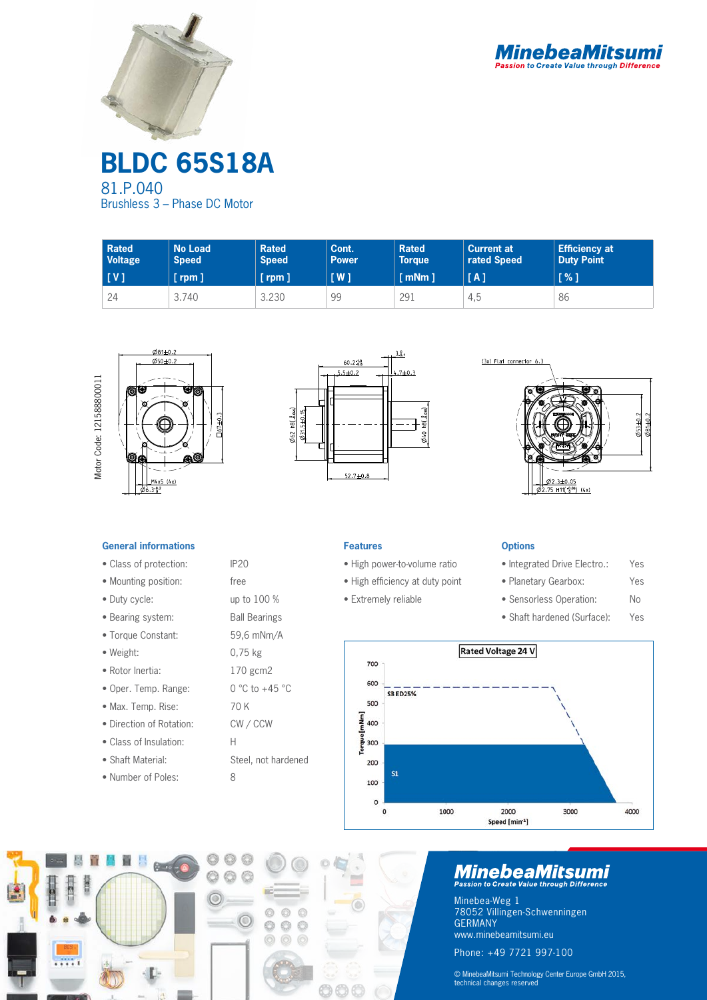



**BLDC 65S18A** 81.P.040 Brushless 3 – Phase DC Motor

| <b>Rated</b>   | <b>No Load</b> | <b>Rated</b> | Cont.               | <b>Rated</b>          | <b>Current at</b> | <b>Efficiency at</b> |
|----------------|----------------|--------------|---------------------|-----------------------|-------------------|----------------------|
| <b>Voltage</b> | <b>Speed</b>   | <b>Speed</b> | <b>Power</b>        | <b>Torque</b>         | rated Speed       | <b>Duty Point</b>    |
| [V]            | $[$ rpm $]$    | [rpm]        | $\lceil$ W $\rceil$ | $\lceil$ mNm $\rceil$ | [A]               | $\sqrt{2}$           |
| 24             | 3.740          | 3.230        | 99                  | 291                   | 4,5               |                      |







### **General informations**

- Class of protection: IP20
- Mounting position: free
- Duty cycle: up to 100 %
- Bearing system: Ball Bearings
- Torque Constant: 59,6 mNm/A
- Weight: 0,75 kg
- Rotor Inertia: 170 gcm2
- Oper. Temp. Range: 0 °C to +45 °C
- Max. Temp. Rise: 70 K
- Direction of Rotation: CW / CCW
- Class of Insulation: H
- Shaft Material: Steel, not hardened
- Number of Poles: 8



- High power-to-volume ratio
- High efficiency at duty point
- Extremely reliable

#### **Options**

- Integrated Drive Electro.: Yes
- Planetary Gearbox: Yes
- Sensorless Operation: No
- Shaft hardened (Surface): Yes





# **MinebeaMitsumi**

Minebea-Weg 1 78052 Villingen-Schwenningen GERMANY www.minebeamitsumi.eu Phone: +49 7721 997-100

© MinebeaMitsumi Technology Center Europe GmbH 2015, technical changes reserved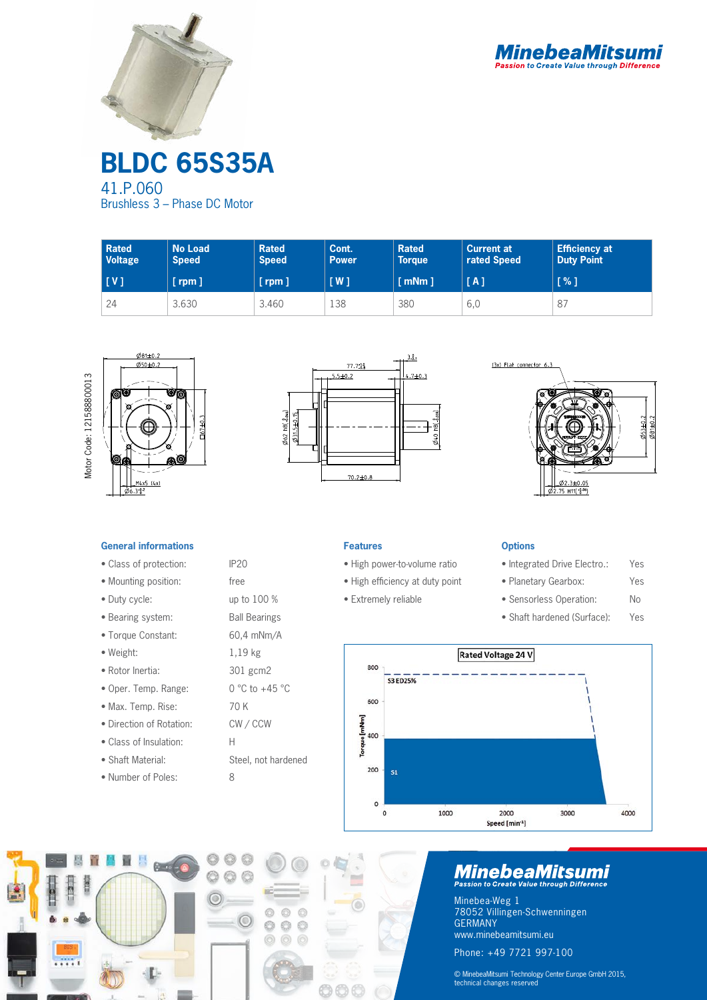



**BLDC 65S35A** 41.P.060 Brushless 3 – Phase DC Motor

| <b>Rated</b><br><b>Voltage</b> | <b>No Load</b><br><b>Speed</b> | <b>Rated</b><br><b>Speed</b> | Cont.<br><b>Power</b> | <b>Rated</b><br><b>Torque</b> | <b>Current at</b><br>rated Speed | <b>Efficiency at</b><br><b>Duty Point</b> |
|--------------------------------|--------------------------------|------------------------------|-----------------------|-------------------------------|----------------------------------|-------------------------------------------|
| [V]                            | $[$ rpm $]$                    | $[$ rpm $]$                  | $\lceil$ W $\rceil$   | $\lceil$ mNm $\rceil$         | [A]                              | [%]                                       |
| 24                             | 3.630                          | 3.460                        | 138                   | 380                           | 6,0                              | 87                                        |









## **General informations**

- Class of protection: IP20
- Mounting position: free
- Duty cycle: up to 100 %
- Bearing system: Ball Bearings
- Torque Constant: 60,4 mNm/A
- Weight: 1,19 kg
- Rotor Inertia: 301 gcm2
- Oper. Temp. Range: 0 °C to +45 °C
- Max. Temp. Rise: 70 K
- Direction of Rotation: CW / CCW
- Class of Insulation: H
- Shaft Material: Steel, not hardened
- Number of Poles: 8



- High power-to-volume ratio
- High efficiency at duty point
- Extremely reliable

## **Options**

- Integrated Drive Electro.: Yes
- Planetary Gearbox: Yes
- Sensorless Operation: No
- Shaft hardened (Surface): Yes





# **MinebeaMitsumi**

Minebea-Weg 1 78052 Villingen-Schwenningen GERMANY www.minebeamitsumi.eu Phone: +49 7721 997-100

© MinebeaMitsumi Technology Center Europe GmbH 2015, technical changes reserved